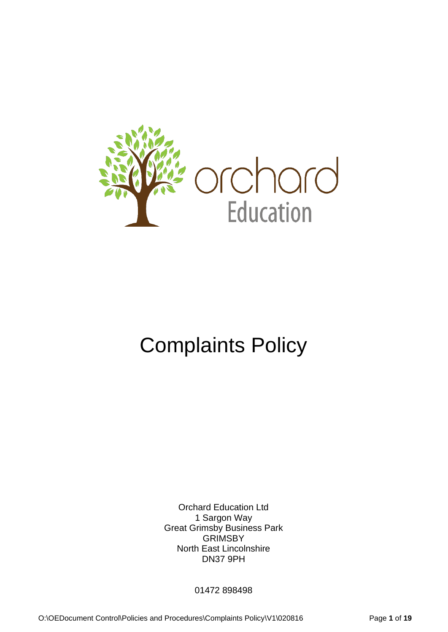

# Complaints Policy

Orchard Education Ltd 1 Sargon Way Great Grimsby Business Park **GRIMSBY** North East Lincolnshire DN37 9PH

01472 898498

O:\OEDocument Control\Policies and Procedures\Complaints Policy\V1\020816 Page **1** of **19**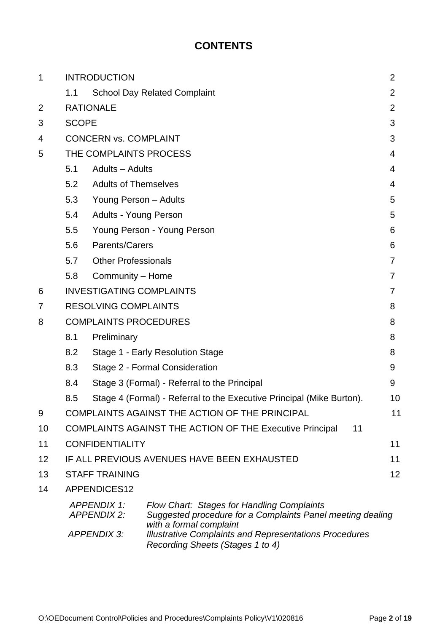# **CONTENTS**

| 1  | <b>INTRODUCTION</b>                         |                                                                             |                                                                                                                                     |                |  |  |
|----|---------------------------------------------|-----------------------------------------------------------------------------|-------------------------------------------------------------------------------------------------------------------------------------|----------------|--|--|
|    | 1.1                                         |                                                                             | <b>School Day Related Complaint</b>                                                                                                 | $\overline{2}$ |  |  |
| 2  |                                             | <b>RATIONALE</b>                                                            |                                                                                                                                     |                |  |  |
| 3  |                                             | <b>SCOPE</b>                                                                |                                                                                                                                     |                |  |  |
| 4  |                                             | <b>CONCERN vs. COMPLAINT</b>                                                |                                                                                                                                     |                |  |  |
| 5  |                                             | THE COMPLAINTS PROCESS                                                      |                                                                                                                                     | 4              |  |  |
|    | 5.1                                         | Adults - Adults                                                             |                                                                                                                                     | 4              |  |  |
|    | 5.2                                         | <b>Adults of Themselves</b>                                                 |                                                                                                                                     | 4              |  |  |
|    | 5.3                                         | Young Person - Adults                                                       |                                                                                                                                     | 5              |  |  |
|    | 5.4                                         | <b>Adults - Young Person</b>                                                |                                                                                                                                     |                |  |  |
|    | 5.5                                         | Young Person - Young Person                                                 |                                                                                                                                     |                |  |  |
|    | 5.6                                         | Parents/Carers                                                              |                                                                                                                                     | 6              |  |  |
|    | 5.7                                         | <b>Other Professionals</b>                                                  |                                                                                                                                     |                |  |  |
|    | 5.8                                         | Community - Home                                                            |                                                                                                                                     | 7              |  |  |
| 6  |                                             | <b>INVESTIGATING COMPLAINTS</b>                                             |                                                                                                                                     |                |  |  |
| 7  |                                             | <b>RESOLVING COMPLAINTS</b>                                                 |                                                                                                                                     | 8              |  |  |
| 8  | <b>COMPLAINTS PROCEDURES</b>                |                                                                             |                                                                                                                                     |                |  |  |
|    | 8.1                                         | Preliminary                                                                 |                                                                                                                                     |                |  |  |
|    | 8.2                                         |                                                                             | Stage 1 - Early Resolution Stage                                                                                                    | 8              |  |  |
|    | 8.3                                         | Stage 2 - Formal Consideration<br>9                                         |                                                                                                                                     |                |  |  |
|    | 8.4                                         | Stage 3 (Formal) - Referral to the Principal                                |                                                                                                                                     |                |  |  |
|    | 8.5                                         | Stage 4 (Formal) - Referral to the Executive Principal (Mike Burton).<br>10 |                                                                                                                                     |                |  |  |
| 9  |                                             |                                                                             | COMPLAINTS AGAINST THE ACTION OF THE PRINCIPAL                                                                                      | 11             |  |  |
| 10 |                                             |                                                                             | <b>COMPLAINTS AGAINST THE ACTION OF THE Executive Principal</b><br>11                                                               |                |  |  |
| 11 |                                             | <b>CONFIDENTIALITY</b>                                                      |                                                                                                                                     | 11             |  |  |
| 12 | IF ALL PREVIOUS AVENUES HAVE BEEN EXHAUSTED |                                                                             |                                                                                                                                     | 11             |  |  |
| 13 | <b>STAFF TRAINING</b>                       |                                                                             |                                                                                                                                     |                |  |  |
| 14 | APPENDICES12                                |                                                                             |                                                                                                                                     |                |  |  |
|    | <b>APPENDIX 1:</b><br><b>APPENDIX 2:</b>    |                                                                             | Flow Chart: Stages for Handling Complaints<br>Suggested procedure for a Complaints Panel meeting dealing<br>with a formal complaint |                |  |  |
|    | <b>APPENDIX 3:</b>                          |                                                                             | <b>Illustrative Complaints and Representations Procedures</b><br>Recording Sheets (Stages 1 to 4)                                   |                |  |  |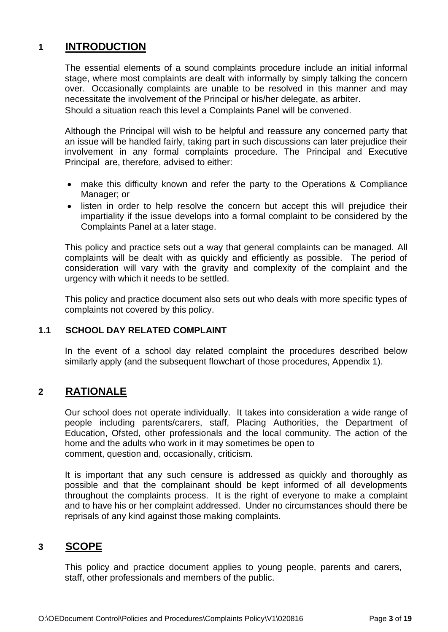# **1 INTRODUCTION**

The essential elements of a sound complaints procedure include an initial informal stage, where most complaints are dealt with informally by simply talking the concern over. Occasionally complaints are unable to be resolved in this manner and may necessitate the involvement of the Principal or his/her delegate, as arbiter. Should a situation reach this level a Complaints Panel will be convened.

Although the Principal will wish to be helpful and reassure any concerned party that an issue will be handled fairly, taking part in such discussions can later prejudice their involvement in any formal complaints procedure. The Principal and Executive Principal are, therefore, advised to either:

- make this difficulty known and refer the party to the Operations & Compliance Manager; or
- listen in order to help resolve the concern but accept this will prejudice their impartiality if the issue develops into a formal complaint to be considered by the Complaints Panel at a later stage.

This policy and practice sets out a way that general complaints can be managed. All complaints will be dealt with as quickly and efficiently as possible. The period of consideration will vary with the gravity and complexity of the complaint and the urgency with which it needs to be settled.

This policy and practice document also sets out who deals with more specific types of complaints not covered by this policy.

#### **1.1 SCHOOL DAY RELATED COMPLAINT**

In the event of a school day related complaint the procedures described below similarly apply (and the subsequent flowchart of those procedures, Appendix 1).

#### **2 RATIONALE**

Our school does not operate individually. It takes into consideration a wide range of people including parents/carers, staff, Placing Authorities, the Department of Education, Ofsted, other professionals and the local community. The action of the home and the adults who work in it may sometimes be open to comment, question and, occasionally, criticism.

It is important that any such censure is addressed as quickly and thoroughly as possible and that the complainant should be kept informed of all developments throughout the complaints process. It is the right of everyone to make a complaint and to have his or her complaint addressed. Under no circumstances should there be reprisals of any kind against those making complaints.

#### **3 SCOPE**

This policy and practice document applies to young people, parents and carers, staff, other professionals and members of the public.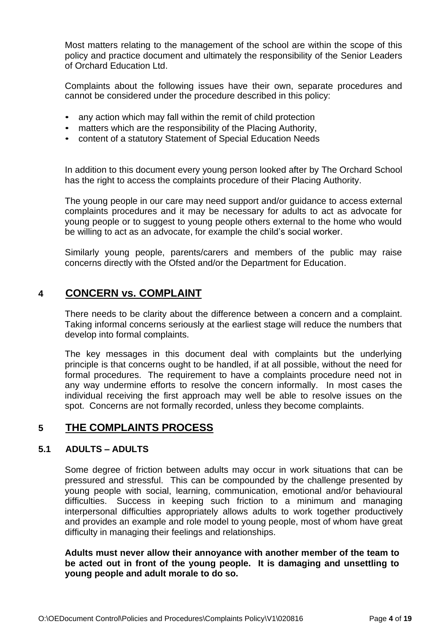Most matters relating to the management of the school are within the scope of this policy and practice document and ultimately the responsibility of the Senior Leaders of Orchard Education Ltd.

Complaints about the following issues have their own, separate procedures and cannot be considered under the procedure described in this policy:

- any action which may fall within the remit of child protection
- matters which are the responsibility of the Placing Authority,
- content of a statutory Statement of Special Education Needs

In addition to this document every young person looked after by The Orchard School has the right to access the complaints procedure of their Placing Authority.

The young people in our care may need support and/or guidance to access external complaints procedures and it may be necessary for adults to act as advocate for young people or to suggest to young people others external to the home who would be willing to act as an advocate, for example the child's social worker.

Similarly young people, parents/carers and members of the public may raise concerns directly with the Ofsted and/or the Department for Education.

### **4 CONCERN vs. COMPLAINT**

There needs to be clarity about the difference between a concern and a complaint. Taking informal concerns seriously at the earliest stage will reduce the numbers that develop into formal complaints.

The key messages in this document deal with complaints but the underlying principle is that concerns ought to be handled, if at all possible, without the need for formal procedures. The requirement to have a complaints procedure need not in any way undermine efforts to resolve the concern informally. In most cases the individual receiving the first approach may well be able to resolve issues on the spot. Concerns are not formally recorded, unless they become complaints.

## **5 THE COMPLAINTS PROCESS**

#### **5.1 ADULTS – ADULTS**

Some degree of friction between adults may occur in work situations that can be pressured and stressful. This can be compounded by the challenge presented by young people with social, learning, communication, emotional and/or behavioural difficulties. Success in keeping such friction to a minimum and managing interpersonal difficulties appropriately allows adults to work together productively and provides an example and role model to young people, most of whom have great difficulty in managing their feelings and relationships.

**Adults must never allow their annoyance with another member of the team to be acted out in front of the young people. It is damaging and unsettling to young people and adult morale to do so.**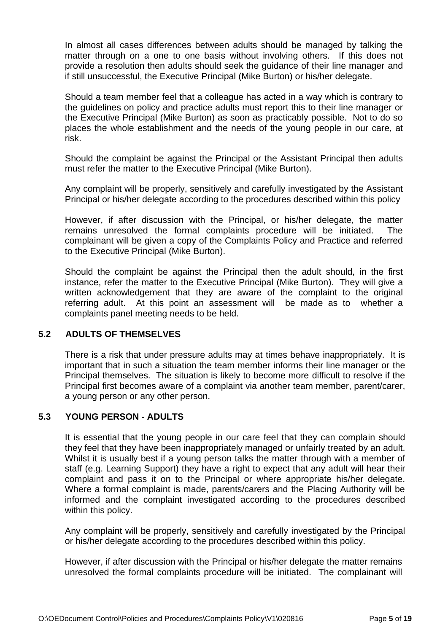In almost all cases differences between adults should be managed by talking the matter through on a one to one basis without involving others. If this does not provide a resolution then adults should seek the guidance of their line manager and if still unsuccessful, the Executive Principal (Mike Burton) or his/her delegate.

Should a team member feel that a colleague has acted in a way which is contrary to the guidelines on policy and practice adults must report this to their line manager or the Executive Principal (Mike Burton) as soon as practicably possible. Not to do so places the whole establishment and the needs of the young people in our care, at risk.

Should the complaint be against the Principal or the Assistant Principal then adults must refer the matter to the Executive Principal (Mike Burton).

Any complaint will be properly, sensitively and carefully investigated by the Assistant Principal or his/her delegate according to the procedures described within this policy

However, if after discussion with the Principal, or his/her delegate, the matter remains unresolved the formal complaints procedure will be initiated. The complainant will be given a copy of the Complaints Policy and Practice and referred to the Executive Principal (Mike Burton).

Should the complaint be against the Principal then the adult should, in the first instance, refer the matter to the Executive Principal (Mike Burton). They will give a written acknowledgement that they are aware of the complaint to the original referring adult. At this point an assessment will be made as to whether a complaints panel meeting needs to be held.

#### **5.2 ADULTS OF THEMSELVES**

There is a risk that under pressure adults may at times behave inappropriately. It is important that in such a situation the team member informs their line manager or the Principal themselves. The situation is likely to become more difficult to resolve if the Principal first becomes aware of a complaint via another team member, parent/carer, a young person or any other person.

#### **5.3 YOUNG PERSON - ADULTS**

It is essential that the young people in our care feel that they can complain should they feel that they have been inappropriately managed or unfairly treated by an adult. Whilst it is usually best if a young person talks the matter through with a member of staff (e.g. Learning Support) they have a right to expect that any adult will hear their complaint and pass it on to the Principal or where appropriate his/her delegate. Where a formal complaint is made, parents/carers and the Placing Authority will be informed and the complaint investigated according to the procedures described within this policy.

Any complaint will be properly, sensitively and carefully investigated by the Principal or his/her delegate according to the procedures described within this policy.

However, if after discussion with the Principal or his/her delegate the matter remains unresolved the formal complaints procedure will be initiated. The complainant will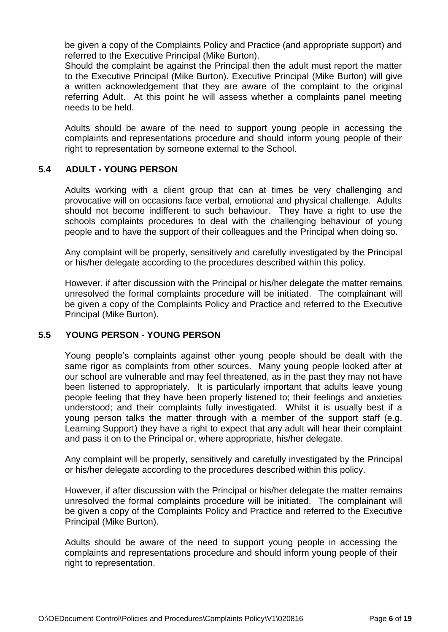be given a copy of the Complaints Policy and Practice (and appropriate support) and referred to the Executive Principal (Mike Burton).

Should the complaint be against the Principal then the adult must report the matter to the Executive Principal (Mike Burton). Executive Principal (Mike Burton) will give a written acknowledgement that they are aware of the complaint to the original referring Adult. At this point he will assess whether a complaints panel meeting needs to be held.

Adults should be aware of the need to support young people in accessing the complaints and representations procedure and should inform young people of their right to representation by someone external to the School.

#### **5.4 ADULT - YOUNG PERSON**

Adults working with a client group that can at times be very challenging and provocative will on occasions face verbal, emotional and physical challenge. Adults should not become indifferent to such behaviour. They have a right to use the schools complaints procedures to deal with the challenging behaviour of young people and to have the support of their colleagues and the Principal when doing so.

Any complaint will be properly, sensitively and carefully investigated by the Principal or his/her delegate according to the procedures described within this policy.

However, if after discussion with the Principal or his/her delegate the matter remains unresolved the formal complaints procedure will be initiated. The complainant will be given a copy of the Complaints Policy and Practice and referred to the Executive Principal (Mike Burton).

#### **5.5 YOUNG PERSON - YOUNG PERSON**

Young people's complaints against other young people should be dealt with the same rigor as complaints from other sources. Many young people looked after at our school are vulnerable and may feel threatened, as in the past they may not have been listened to appropriately. It is particularly important that adults leave young people feeling that they have been properly listened to; their feelings and anxieties understood; and their complaints fully investigated. Whilst it is usually best if a young person talks the matter through with a member of the support staff (e.g. Learning Support) they have a right to expect that any adult will hear their complaint and pass it on to the Principal or, where appropriate, his/her delegate.

Any complaint will be properly, sensitively and carefully investigated by the Principal or his/her delegate according to the procedures described within this policy.

However, if after discussion with the Principal or his/her delegate the matter remains unresolved the formal complaints procedure will be initiated. The complainant will be given a copy of the Complaints Policy and Practice and referred to the Executive Principal (Mike Burton).

Adults should be aware of the need to support young people in accessing the complaints and representations procedure and should inform young people of their right to representation.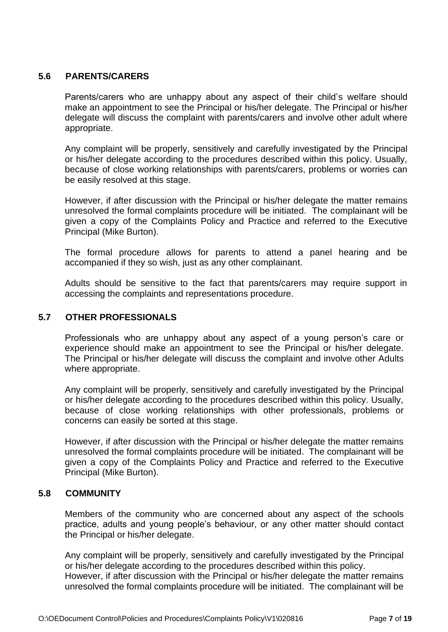#### **5.6 PARENTS/CARERS**

Parents/carers who are unhappy about any aspect of their child's welfare should make an appointment to see the Principal or his/her delegate. The Principal or his/her delegate will discuss the complaint with parents/carers and involve other adult where appropriate.

Any complaint will be properly, sensitively and carefully investigated by the Principal or his/her delegate according to the procedures described within this policy. Usually, because of close working relationships with parents/carers, problems or worries can be easily resolved at this stage.

However, if after discussion with the Principal or his/her delegate the matter remains unresolved the formal complaints procedure will be initiated. The complainant will be given a copy of the Complaints Policy and Practice and referred to the Executive Principal (Mike Burton).

The formal procedure allows for parents to attend a panel hearing and be accompanied if they so wish, just as any other complainant.

Adults should be sensitive to the fact that parents/carers may require support in accessing the complaints and representations procedure.

#### **5.7 OTHER PROFESSIONALS**

Professionals who are unhappy about any aspect of a young person's care or experience should make an appointment to see the Principal or his/her delegate. The Principal or his/her delegate will discuss the complaint and involve other Adults where appropriate.

Any complaint will be properly, sensitively and carefully investigated by the Principal or his/her delegate according to the procedures described within this policy. Usually, because of close working relationships with other professionals, problems or concerns can easily be sorted at this stage.

However, if after discussion with the Principal or his/her delegate the matter remains unresolved the formal complaints procedure will be initiated. The complainant will be given a copy of the Complaints Policy and Practice and referred to the Executive Principal (Mike Burton).

#### **5.8 COMMUNITY**

Members of the community who are concerned about any aspect of the schools practice, adults and young people's behaviour, or any other matter should contact the Principal or his/her delegate.

Any complaint will be properly, sensitively and carefully investigated by the Principal or his/her delegate according to the procedures described within this policy. However, if after discussion with the Principal or his/her delegate the matter remains unresolved the formal complaints procedure will be initiated. The complainant will be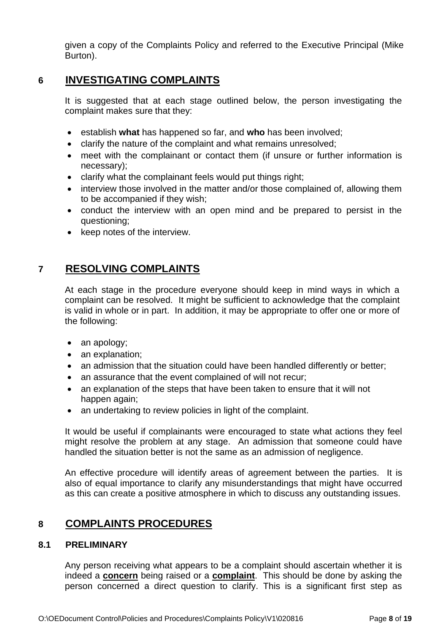given a copy of the Complaints Policy and referred to the Executive Principal (Mike Burton).

## **6 INVESTIGATING COMPLAINTS**

It is suggested that at each stage outlined below, the person investigating the complaint makes sure that they:

- establish **what** has happened so far, and **who** has been involved;
- clarify the nature of the complaint and what remains unresolved;
- meet with the complainant or contact them (if unsure or further information is necessary);
- clarify what the complainant feels would put things right;
- interview those involved in the matter and/or those complained of, allowing them to be accompanied if they wish;
- conduct the interview with an open mind and be prepared to persist in the questioning;
- keep notes of the interview.

# **7 RESOLVING COMPLAINTS**

At each stage in the procedure everyone should keep in mind ways in which a complaint can be resolved. It might be sufficient to acknowledge that the complaint is valid in whole or in part. In addition, it may be appropriate to offer one or more of the following:

- an apology;
- an explanation;
- an admission that the situation could have been handled differently or better;
- an assurance that the event complained of will not recur;
- an explanation of the steps that have been taken to ensure that it will not happen again;
- an undertaking to review policies in light of the complaint.

It would be useful if complainants were encouraged to state what actions they feel might resolve the problem at any stage. An admission that someone could have handled the situation better is not the same as an admission of negligence.

An effective procedure will identify areas of agreement between the parties. It is also of equal importance to clarify any misunderstandings that might have occurred as this can create a positive atmosphere in which to discuss any outstanding issues.

## **8 COMPLAINTS PROCEDURES**

#### **8.1 PRELIMINARY**

Any person receiving what appears to be a complaint should ascertain whether it is indeed a **concern** being raised or a **complaint**. This should be done by asking the person concerned a direct question to clarify. This is a significant first step as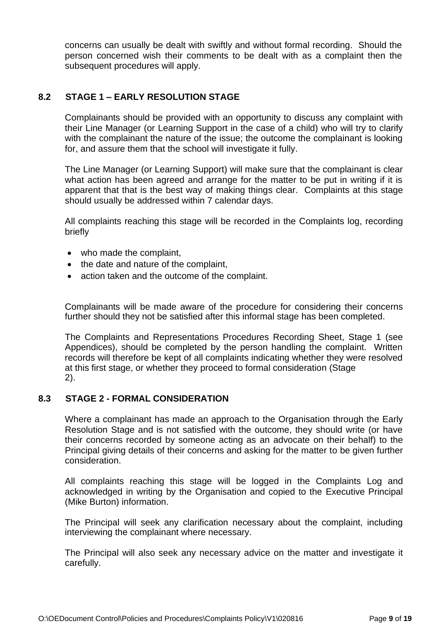concerns can usually be dealt with swiftly and without formal recording. Should the person concerned wish their comments to be dealt with as a complaint then the subsequent procedures will apply.

### **8.2 STAGE 1 – EARLY RESOLUTION STAGE**

Complainants should be provided with an opportunity to discuss any complaint with their Line Manager (or Learning Support in the case of a child) who will try to clarify with the complainant the nature of the issue; the outcome the complainant is looking for, and assure them that the school will investigate it fully.

The Line Manager (or Learning Support) will make sure that the complainant is clear what action has been agreed and arrange for the matter to be put in writing if it is apparent that that is the best way of making things clear. Complaints at this stage should usually be addressed within 7 calendar days.

All complaints reaching this stage will be recorded in the Complaints log, recording briefly

- who made the complaint,
- the date and nature of the complaint,
- action taken and the outcome of the complaint.

Complainants will be made aware of the procedure for considering their concerns further should they not be satisfied after this informal stage has been completed.

The Complaints and Representations Procedures Recording Sheet, Stage 1 (see Appendices), should be completed by the person handling the complaint. Written records will therefore be kept of all complaints indicating whether they were resolved at this first stage, or whether they proceed to formal consideration (Stage 2).

#### **8.3 STAGE 2 - FORMAL CONSIDERATION**

Where a complainant has made an approach to the Organisation through the Early Resolution Stage and is not satisfied with the outcome, they should write (or have their concerns recorded by someone acting as an advocate on their behalf) to the Principal giving details of their concerns and asking for the matter to be given further consideration.

All complaints reaching this stage will be logged in the Complaints Log and acknowledged in writing by the Organisation and copied to the Executive Principal (Mike Burton) information.

The Principal will seek any clarification necessary about the complaint, including interviewing the complainant where necessary.

The Principal will also seek any necessary advice on the matter and investigate it carefully.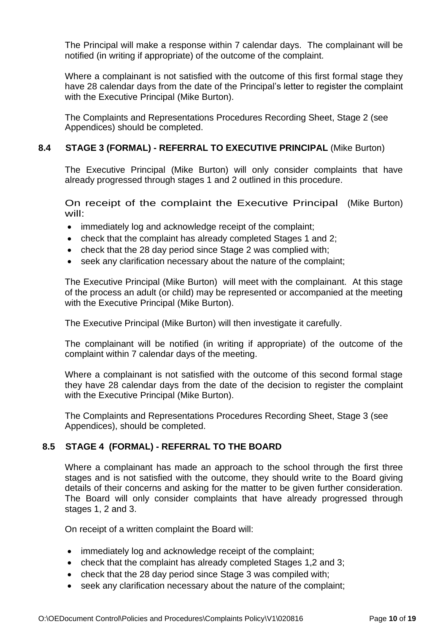The Principal will make a response within 7 calendar days. The complainant will be notified (in writing if appropriate) of the outcome of the complaint.

Where a complainant is not satisfied with the outcome of this first formal stage they have 28 calendar days from the date of the Principal's letter to register the complaint with the Executive Principal (Mike Burton).

The Complaints and Representations Procedures Recording Sheet, Stage 2 (see Appendices) should be completed.

#### **8.4 STAGE 3 (FORMAL) - REFERRAL TO EXECUTIVE PRINCIPAL** (Mike Burton)

The Executive Principal (Mike Burton) will only consider complaints that have already progressed through stages 1 and 2 outlined in this procedure.

On receipt of the complaint the Executive Principal (Mike Burton) will:

- immediately log and acknowledge receipt of the complaint;
- check that the complaint has already completed Stages 1 and 2;
- check that the 28 day period since Stage 2 was complied with;
- seek any clarification necessary about the nature of the complaint;

The Executive Principal (Mike Burton) will meet with the complainant. At this stage of the process an adult (or child) may be represented or accompanied at the meeting with the Executive Principal (Mike Burton).

The Executive Principal (Mike Burton) will then investigate it carefully.

The complainant will be notified (in writing if appropriate) of the outcome of the complaint within 7 calendar days of the meeting.

Where a complainant is not satisfied with the outcome of this second formal stage they have 28 calendar days from the date of the decision to register the complaint with the Executive Principal (Mike Burton).

The Complaints and Representations Procedures Recording Sheet, Stage 3 (see Appendices), should be completed.

#### **8.5 STAGE 4 (FORMAL) - REFERRAL TO THE BOARD**

Where a complainant has made an approach to the school through the first three stages and is not satisfied with the outcome, they should write to the Board giving details of their concerns and asking for the matter to be given further consideration. The Board will only consider complaints that have already progressed through stages 1, 2 and 3.

On receipt of a written complaint the Board will:

- immediately log and acknowledge receipt of the complaint;
- check that the complaint has already completed Stages 1,2 and 3;
- check that the 28 day period since Stage 3 was compiled with;
- seek any clarification necessary about the nature of the complaint;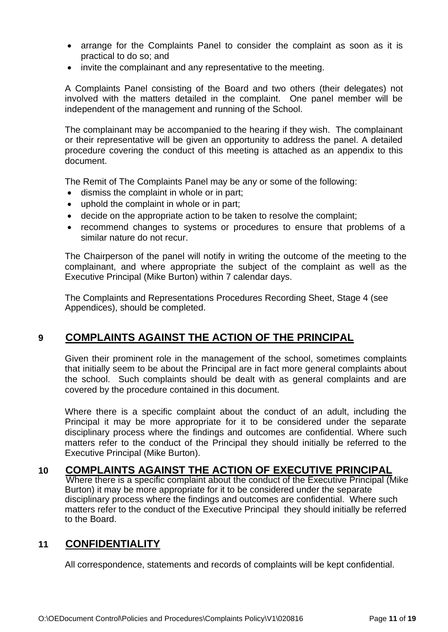- arrange for the Complaints Panel to consider the complaint as soon as it is practical to do so; and
- invite the complainant and any representative to the meeting.

A Complaints Panel consisting of the Board and two others (their delegates) not involved with the matters detailed in the complaint. One panel member will be independent of the management and running of the School.

The complainant may be accompanied to the hearing if they wish. The complainant or their representative will be given an opportunity to address the panel. A detailed procedure covering the conduct of this meeting is attached as an appendix to this document.

The Remit of The Complaints Panel may be any or some of the following:

- dismiss the complaint in whole or in part;
- uphold the complaint in whole or in part;
- decide on the appropriate action to be taken to resolve the complaint;
- recommend changes to systems or procedures to ensure that problems of a similar nature do not recur.

The Chairperson of the panel will notify in writing the outcome of the meeting to the complainant, and where appropriate the subject of the complaint as well as the Executive Principal (Mike Burton) within 7 calendar days.

The Complaints and Representations Procedures Recording Sheet, Stage 4 (see Appendices), should be completed.

# **9 COMPLAINTS AGAINST THE ACTION OF THE PRINCIPAL**

Given their prominent role in the management of the school, sometimes complaints that initially seem to be about the Principal are in fact more general complaints about the school. Such complaints should be dealt with as general complaints and are covered by the procedure contained in this document.

Where there is a specific complaint about the conduct of an adult, including the Principal it may be more appropriate for it to be considered under the separate disciplinary process where the findings and outcomes are confidential. Where such matters refer to the conduct of the Principal they should initially be referred to the Executive Principal (Mike Burton).

## **10 COMPLAINTS AGAINST THE ACTION OF EXECUTIVE PRINCIPAL**

Where there is a specific complaint about the conduct of the Executive Principal (Mike Burton) it may be more appropriate for it to be considered under the separate disciplinary process where the findings and outcomes are confidential. Where such matters refer to the conduct of the Executive Principal they should initially be referred to the Board.

## **11 CONFIDENTIALITY**

All correspondence, statements and records of complaints will be kept confidential.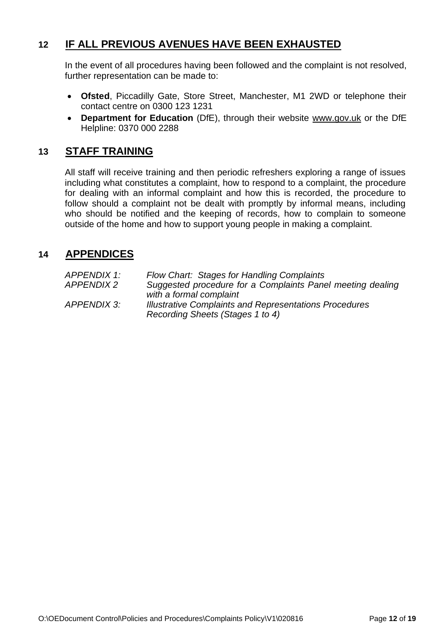# **12 IF ALL PREVIOUS AVENUES HAVE BEEN EXHAUSTED**

In the event of all procedures having been followed and the complaint is not resolved, further representation can be made to:

- **Ofsted**, Piccadilly Gate, Store Street, Manchester, M1 2WD or telephone their contact centre on 0300 123 1231
- **Department for Education** (DfE), through their website [www.gov.uk](http://www.gov.uk/) or the DfE Helpline: 0370 000 2288

## **13 STAFF TRAINING**

All staff will receive training and then periodic refreshers exploring a range of issues including what constitutes a complaint, how to respond to a complaint, the procedure for dealing with an informal complaint and how this is recorded, the procedure to follow should a complaint not be dealt with promptly by informal means, including who should be notified and the keeping of records, how to complain to someone outside of the home and how to support young people in making a complaint.

### **14 APPENDICES**

| APPENDIX 1:       | Flow Chart: Stages for Handling Complaints                    |
|-------------------|---------------------------------------------------------------|
| <i>APPENDIX 2</i> | Suggested procedure for a Complaints Panel meeting dealing    |
|                   | with a formal complaint                                       |
| APPENDIX 3:       | <b>Illustrative Complaints and Representations Procedures</b> |
|                   | Recording Sheets (Stages 1 to 4)                              |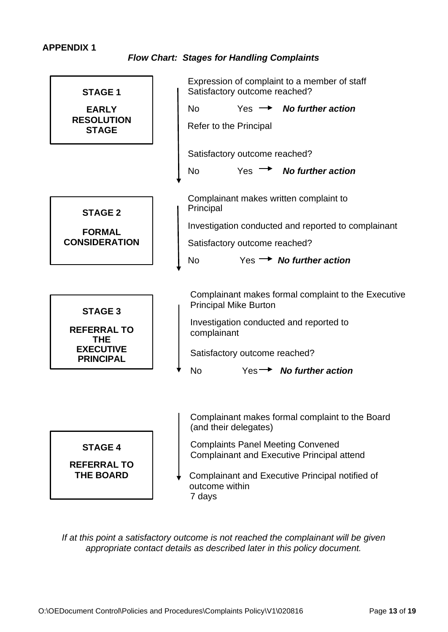#### **APPENDIX 1**

*Flow Chart: Stages for Handling Complaints*



*If at this point a satisfactory outcome is not reached the complainant will be given appropriate contact details as described later in this policy document.*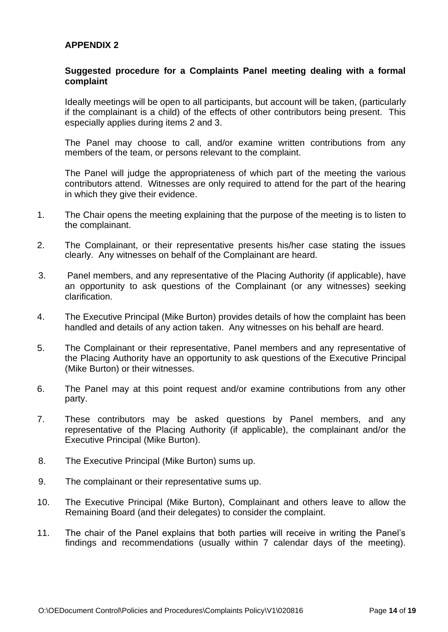#### **APPENDIX 2**

#### **Suggested procedure for a Complaints Panel meeting dealing with a formal complaint**

Ideally meetings will be open to all participants, but account will be taken, (particularly if the complainant is a child) of the effects of other contributors being present. This especially applies during items 2 and 3.

The Panel may choose to call, and/or examine written contributions from any members of the team, or persons relevant to the complaint.

The Panel will judge the appropriateness of which part of the meeting the various contributors attend. Witnesses are only required to attend for the part of the hearing in which they give their evidence.

- 1. The Chair opens the meeting explaining that the purpose of the meeting is to listen to the complainant.
- 2. The Complainant, or their representative presents his/her case stating the issues clearly. Any witnesses on behalf of the Complainant are heard.
- 3. Panel members, and any representative of the Placing Authority (if applicable), have an opportunity to ask questions of the Complainant (or any witnesses) seeking clarification.
- 4. The Executive Principal (Mike Burton) provides details of how the complaint has been handled and details of any action taken. Any witnesses on his behalf are heard.
- 5. The Complainant or their representative, Panel members and any representative of the Placing Authority have an opportunity to ask questions of the Executive Principal (Mike Burton) or their witnesses.
- 6. The Panel may at this point request and/or examine contributions from any other party.
- 7. These contributors may be asked questions by Panel members, and any representative of the Placing Authority (if applicable), the complainant and/or the Executive Principal (Mike Burton).
- 8. The Executive Principal (Mike Burton) sums up.
- 9. The complainant or their representative sums up.
- 10. The Executive Principal (Mike Burton), Complainant and others leave to allow the Remaining Board (and their delegates) to consider the complaint.
- 11. The chair of the Panel explains that both parties will receive in writing the Panel's findings and recommendations (usually within 7 calendar days of the meeting).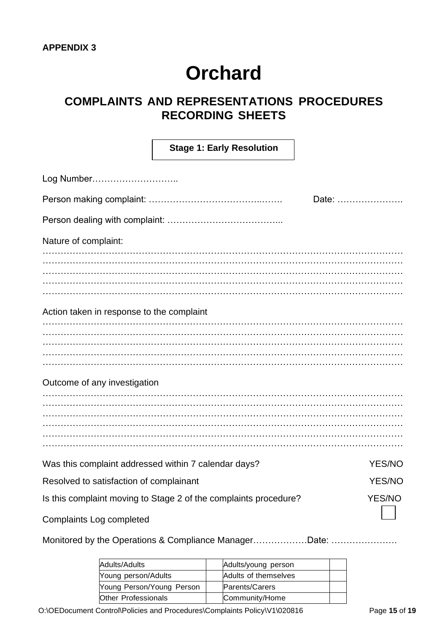# **COMPLAINTS AND REPRESENTATIONS PROCEDURES RECORDING SHEETS**

|                                                      | <b>Stage 1: Early Resolution</b>                                 |               |
|------------------------------------------------------|------------------------------------------------------------------|---------------|
| Log Number                                           |                                                                  |               |
|                                                      |                                                                  | Date:         |
|                                                      |                                                                  |               |
| Nature of complaint:                                 |                                                                  |               |
|                                                      |                                                                  |               |
|                                                      |                                                                  |               |
|                                                      |                                                                  |               |
|                                                      |                                                                  |               |
| Action taken in response to the complaint            |                                                                  |               |
|                                                      |                                                                  |               |
|                                                      |                                                                  |               |
|                                                      |                                                                  |               |
|                                                      |                                                                  |               |
| Outcome of any investigation                         |                                                                  |               |
|                                                      |                                                                  |               |
|                                                      |                                                                  |               |
|                                                      |                                                                  |               |
|                                                      |                                                                  |               |
|                                                      |                                                                  |               |
| Was this complaint addressed within 7 calendar days? |                                                                  | <b>YES/NO</b> |
| Resolved to satisfaction of complainant              |                                                                  | YES/NO        |
|                                                      | Is this complaint moving to Stage 2 of the complaints procedure? | <b>YES/NO</b> |
| Complaints Log completed                             |                                                                  |               |

Monitored by the Operations & Compliance Manager………………Date: ………………….

| Adults/Adults             | Adults/young person  |  |
|---------------------------|----------------------|--|
| Young person/Adults       | Adults of themselves |  |
| Young Person/Young Person | Parents/Carers       |  |
| Other Professionals       | Community/Home       |  |

O:\OEDocument Control\Policies and Procedures\Complaints Policy\V1\020816 Page 15 of 19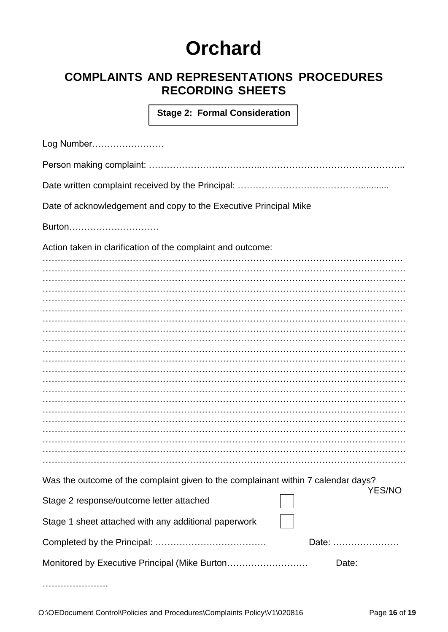# **COMPLAINTS AND REPRESENTATIONS PROCEDURES RECORDING SHEETS**

**Stage 2: Formal Consideration**

| Log Number                                                                        |               |  |  |  |
|-----------------------------------------------------------------------------------|---------------|--|--|--|
|                                                                                   |               |  |  |  |
|                                                                                   |               |  |  |  |
| Date of acknowledgement and copy to the Executive Principal Mike                  |               |  |  |  |
| Burton                                                                            |               |  |  |  |
| Action taken in clarification of the complaint and outcome:                       |               |  |  |  |
|                                                                                   |               |  |  |  |
|                                                                                   |               |  |  |  |
|                                                                                   |               |  |  |  |
|                                                                                   |               |  |  |  |
|                                                                                   |               |  |  |  |
|                                                                                   |               |  |  |  |
|                                                                                   |               |  |  |  |
|                                                                                   |               |  |  |  |
|                                                                                   |               |  |  |  |
|                                                                                   |               |  |  |  |
|                                                                                   |               |  |  |  |
|                                                                                   |               |  |  |  |
|                                                                                   |               |  |  |  |
|                                                                                   |               |  |  |  |
| Was the outcome of the complaint given to the complainant within 7 calendar days? | <b>YES/NO</b> |  |  |  |
| Stage 2 response/outcome letter attached                                          |               |  |  |  |
| Stage 1 sheet attached with any additional paperwork                              |               |  |  |  |
|                                                                                   | Date:         |  |  |  |
|                                                                                   | Date:         |  |  |  |
|                                                                                   |               |  |  |  |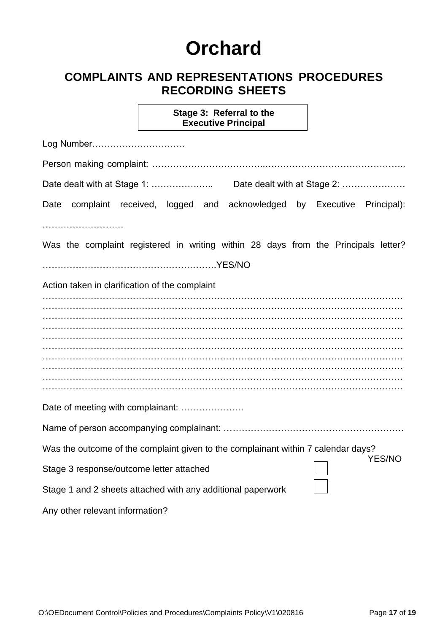# **COMPLAINTS AND REPRESENTATIONS PROCEDURES RECORDING SHEETS**

**Stage 3: Referral to the Executive Principal**

| Log Number                                                                                         |
|----------------------------------------------------------------------------------------------------|
|                                                                                                    |
|                                                                                                    |
| complaint received, logged and acknowledged by Executive Principal):<br>Date                       |
| Was the complaint registered in writing within 28 days from the Principals letter?                 |
| Action taken in clarification of the complaint                                                     |
|                                                                                                    |
|                                                                                                    |
|                                                                                                    |
|                                                                                                    |
|                                                                                                    |
| Date of meeting with complainant:                                                                  |
|                                                                                                    |
| Was the outcome of the complaint given to the complainant within 7 calendar days?<br><b>YES/NO</b> |
| Stage 3 response/outcome letter attached                                                           |
| Stage 1 and 2 sheets attached with any additional paperwork                                        |
| Any other relevant information?                                                                    |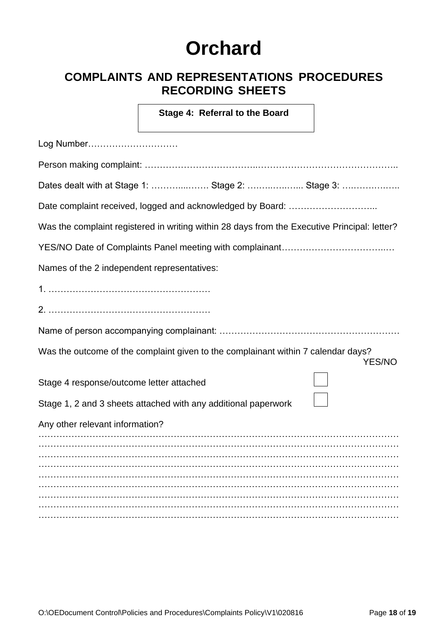# **COMPLAINTS AND REPRESENTATIONS PROCEDURES RECORDING SHEETS**

**Stage 4: Referral to the Board** 

| Log Number                                                                                         |  |  |  |  |
|----------------------------------------------------------------------------------------------------|--|--|--|--|
|                                                                                                    |  |  |  |  |
| Dates dealt with at Stage 1:  Stage 2:  Stage 3:                                                   |  |  |  |  |
|                                                                                                    |  |  |  |  |
| Was the complaint registered in writing within 28 days from the Executive Principal: letter?       |  |  |  |  |
|                                                                                                    |  |  |  |  |
| Names of the 2 independent representatives:                                                        |  |  |  |  |
|                                                                                                    |  |  |  |  |
|                                                                                                    |  |  |  |  |
|                                                                                                    |  |  |  |  |
| Was the outcome of the complaint given to the complainant within 7 calendar days?<br><b>YES/NO</b> |  |  |  |  |
| Stage 4 response/outcome letter attached                                                           |  |  |  |  |
| Stage 1, 2 and 3 sheets attached with any additional paperwork                                     |  |  |  |  |
| Any other relevant information?                                                                    |  |  |  |  |
|                                                                                                    |  |  |  |  |
|                                                                                                    |  |  |  |  |
|                                                                                                    |  |  |  |  |
|                                                                                                    |  |  |  |  |
|                                                                                                    |  |  |  |  |
|                                                                                                    |  |  |  |  |